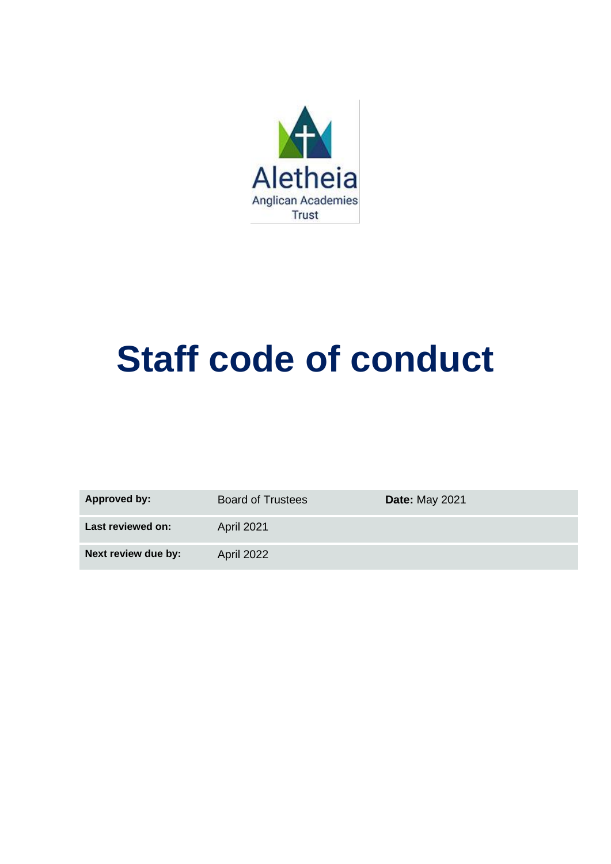

# **Staff code of conduct**

| <b>Approved by:</b> | <b>Board of Trustees</b> | <b>Date: May 2021</b> |
|---------------------|--------------------------|-----------------------|
| Last reviewed on:   | <b>April 2021</b>        |                       |
| Next review due by: | April 2022               |                       |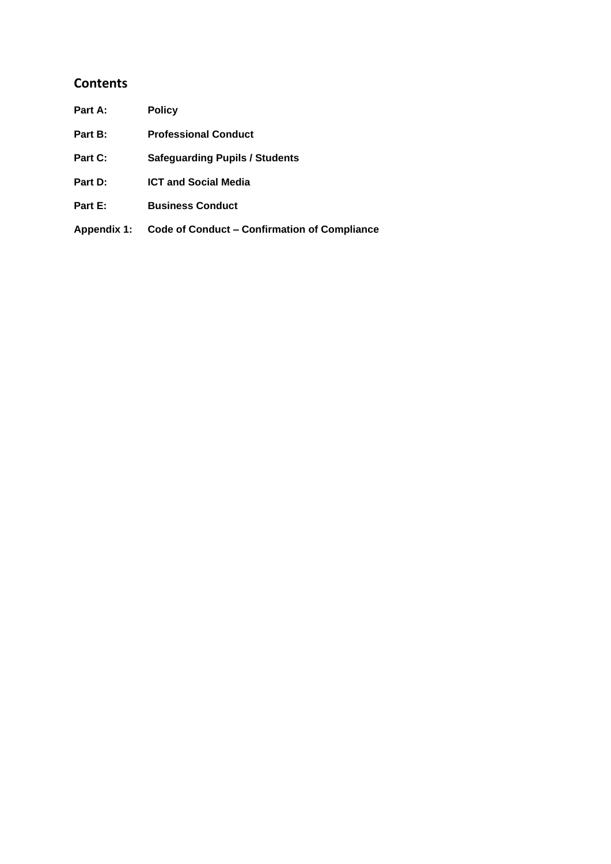#### **Contents**

| Part A:            | <b>Policy</b>                                       |
|--------------------|-----------------------------------------------------|
| Part B:            | <b>Professional Conduct</b>                         |
| Part C:            | <b>Safeguarding Pupils / Students</b>               |
| Part D:            | <b>ICT and Social Media</b>                         |
| Part E:            | <b>Business Conduct</b>                             |
| <b>Appendix 1:</b> | <b>Code of Conduct – Confirmation of Compliance</b> |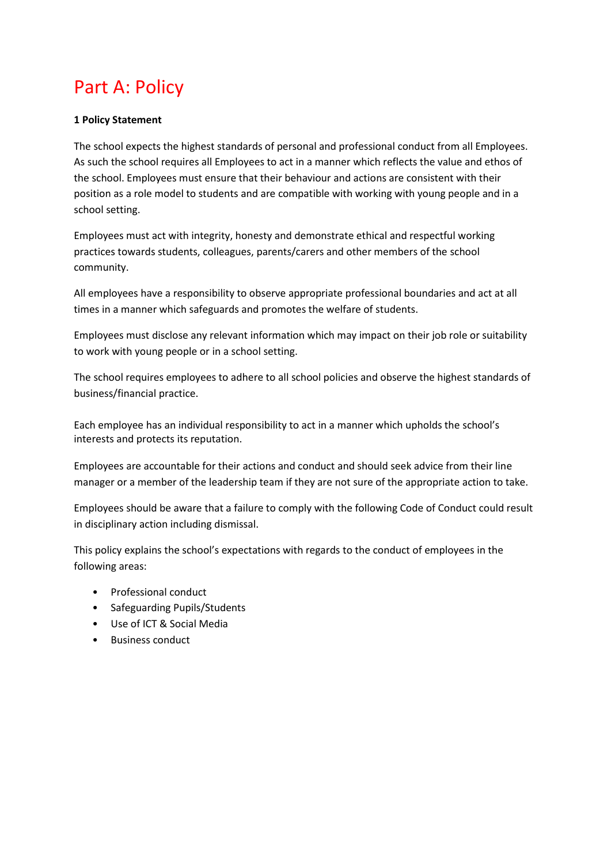### Part A: Policy

#### **1 Policy Statement**

The school expects the highest standards of personal and professional conduct from all Employees. As such the school requires all Employees to act in a manner which reflects the value and ethos of the school. Employees must ensure that their behaviour and actions are consistent with their position as a role model to students and are compatible with working with young people and in a school setting.

Employees must act with integrity, honesty and demonstrate ethical and respectful working practices towards students, colleagues, parents/carers and other members of the school community.

All employees have a responsibility to observe appropriate professional boundaries and act at all times in a manner which safeguards and promotes the welfare of students.

Employees must disclose any relevant information which may impact on their job role or suitability to work with young people or in a school setting.

The school requires employees to adhere to all school policies and observe the highest standards of business/financial practice.

Each employee has an individual responsibility to act in a manner which upholds the school's interests and protects its reputation.

Employees are accountable for their actions and conduct and should seek advice from their line manager or a member of the leadership team if they are not sure of the appropriate action to take.

Employees should be aware that a failure to comply with the following Code of Conduct could result in disciplinary action including dismissal.

This policy explains the school's expectations with regards to the conduct of employees in the following areas:

- Professional conduct
- Safeguarding Pupils/Students
- Use of ICT & Social Media
- Business conduct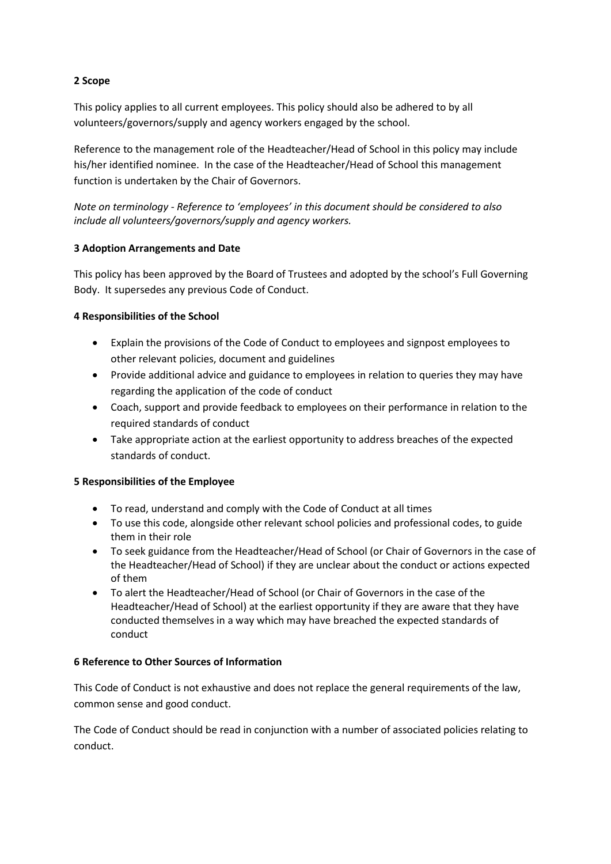#### **2 Scope**

This policy applies to all current employees. This policy should also be adhered to by all volunteers/governors/supply and agency workers engaged by the school.

Reference to the management role of the Headteacher/Head of School in this policy may include his/her identified nominee. In the case of the Headteacher/Head of School this management function is undertaken by the Chair of Governors.

*Note on terminology - Reference to 'employees' in this document should be considered to also include all volunteers/governors/supply and agency workers.*

#### **3 Adoption Arrangements and Date**

This policy has been approved by the Board of Trustees and adopted by the school's Full Governing Body. It supersedes any previous Code of Conduct.

#### **4 Responsibilities of the School**

- Explain the provisions of the Code of Conduct to employees and signpost employees to other relevant policies, document and guidelines
- Provide additional advice and guidance to employees in relation to queries they may have regarding the application of the code of conduct
- Coach, support and provide feedback to employees on their performance in relation to the required standards of conduct
- Take appropriate action at the earliest opportunity to address breaches of the expected standards of conduct.

#### **5 Responsibilities of the Employee**

- To read, understand and comply with the Code of Conduct at all times
- To use this code, alongside other relevant school policies and professional codes, to guide them in their role
- To seek guidance from the Headteacher/Head of School (or Chair of Governors in the case of the Headteacher/Head of School) if they are unclear about the conduct or actions expected of them
- To alert the Headteacher/Head of School (or Chair of Governors in the case of the Headteacher/Head of School) at the earliest opportunity if they are aware that they have conducted themselves in a way which may have breached the expected standards of conduct

#### **6 Reference to Other Sources of Information**

This Code of Conduct is not exhaustive and does not replace the general requirements of the law, common sense and good conduct.

The Code of Conduct should be read in conjunction with a number of associated policies relating to conduct.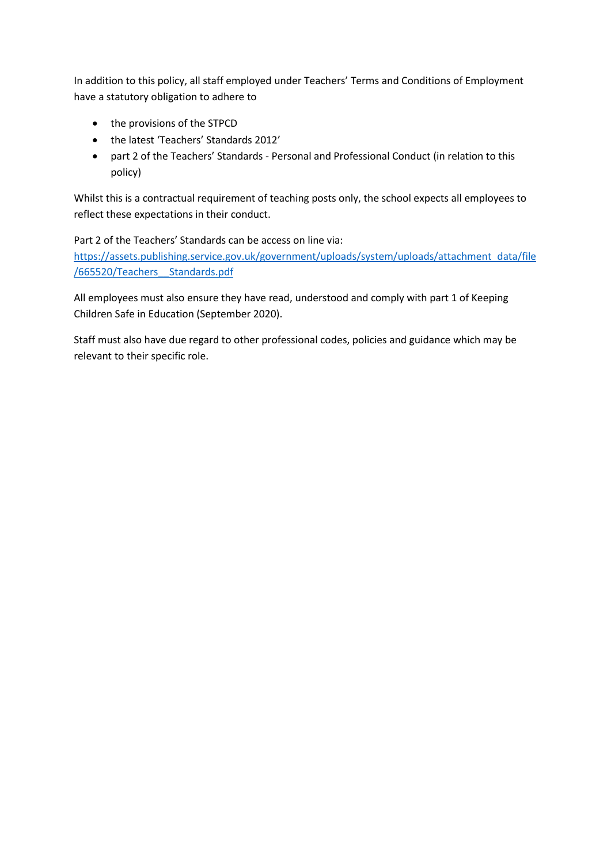In addition to this policy, all staff employed under Teachers' Terms and Conditions of Employment have a statutory obligation to adhere to

- the provisions of the STPCD
- the latest 'Teachers' Standards 2012'
- part 2 of the Teachers' Standards Personal and Professional Conduct (in relation to this policy)

Whilst this is a contractual requirement of teaching posts only, the school expects all employees to reflect these expectations in their conduct.

Part 2 of the Teachers' Standards can be access on line via:

[https://assets.publishing.service.gov.uk/government/uploads/system/uploads/attachment\\_data/file](https://assets.publishing.service.gov.uk/government/uploads/system/uploads/attachment_data/file/665520/Teachers__Standards.pdf) [/665520/Teachers\\_\\_Standards.pdf](https://assets.publishing.service.gov.uk/government/uploads/system/uploads/attachment_data/file/665520/Teachers__Standards.pdf)

All employees must also ensure they have read, understood and comply with part 1 of Keeping Children Safe in Education (September 2020).

Staff must also have due regard to other professional codes, policies and guidance which may be relevant to their specific role.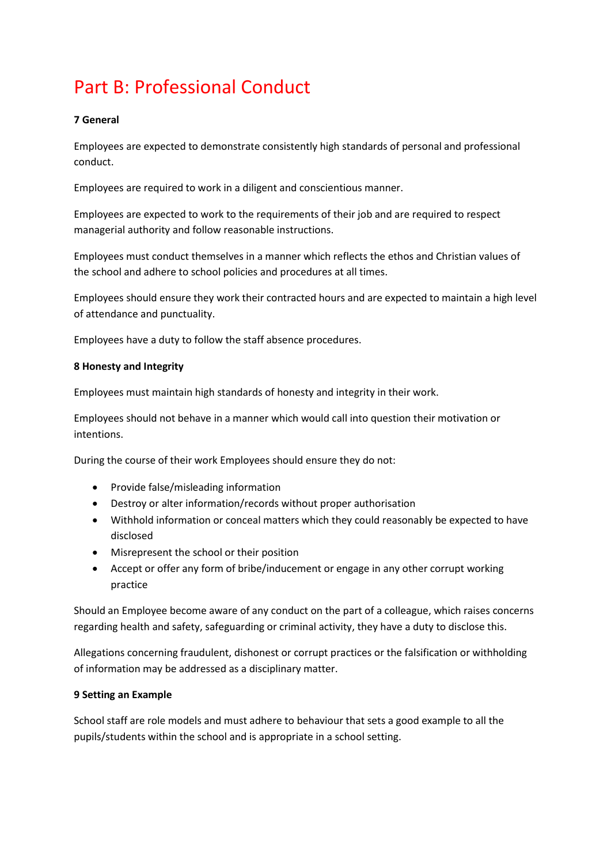# Part B: Professional Conduct

#### **7 General**

Employees are expected to demonstrate consistently high standards of personal and professional conduct.

Employees are required to work in a diligent and conscientious manner.

Employees are expected to work to the requirements of their job and are required to respect managerial authority and follow reasonable instructions.

Employees must conduct themselves in a manner which reflects the ethos and Christian values of the school and adhere to school policies and procedures at all times.

Employees should ensure they work their contracted hours and are expected to maintain a high level of attendance and punctuality.

Employees have a duty to follow the staff absence procedures.

#### **8 Honesty and Integrity**

Employees must maintain high standards of honesty and integrity in their work.

Employees should not behave in a manner which would call into question their motivation or intentions.

During the course of their work Employees should ensure they do not:

- Provide false/misleading information
- Destroy or alter information/records without proper authorisation
- Withhold information or conceal matters which they could reasonably be expected to have disclosed
- Misrepresent the school or their position
- Accept or offer any form of bribe/inducement or engage in any other corrupt working practice

Should an Employee become aware of any conduct on the part of a colleague, which raises concerns regarding health and safety, safeguarding or criminal activity, they have a duty to disclose this.

Allegations concerning fraudulent, dishonest or corrupt practices or the falsification or withholding of information may be addressed as a disciplinary matter.

#### **9 Setting an Example**

School staff are role models and must adhere to behaviour that sets a good example to all the pupils/students within the school and is appropriate in a school setting.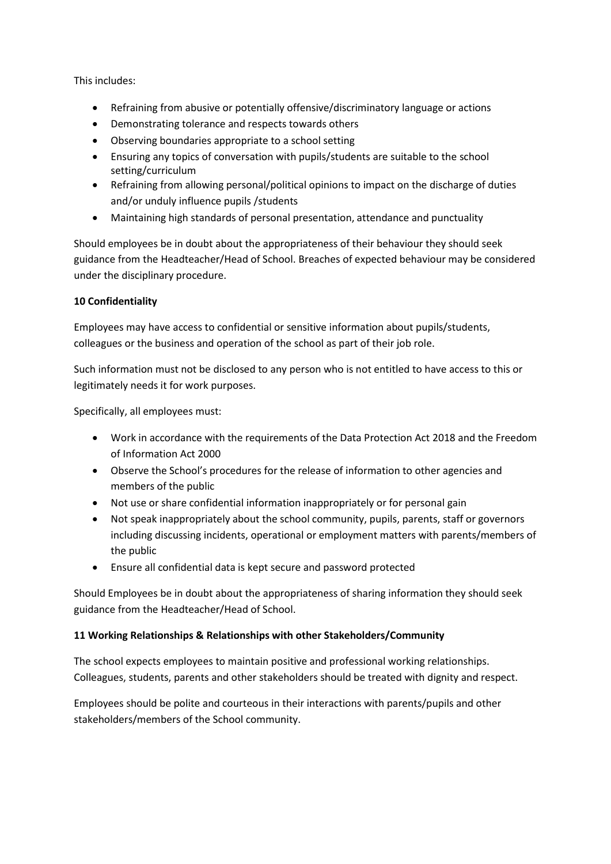This includes:

- Refraining from abusive or potentially offensive/discriminatory language or actions
- Demonstrating tolerance and respects towards others
- Observing boundaries appropriate to a school setting
- Ensuring any topics of conversation with pupils/students are suitable to the school setting/curriculum
- Refraining from allowing personal/political opinions to impact on the discharge of duties and/or unduly influence pupils /students
- Maintaining high standards of personal presentation, attendance and punctuality

Should employees be in doubt about the appropriateness of their behaviour they should seek guidance from the Headteacher/Head of School. Breaches of expected behaviour may be considered under the disciplinary procedure.

#### **10 Confidentiality**

Employees may have access to confidential or sensitive information about pupils/students, colleagues or the business and operation of the school as part of their job role.

Such information must not be disclosed to any person who is not entitled to have access to this or legitimately needs it for work purposes.

Specifically, all employees must:

- Work in accordance with the requirements of the Data Protection Act 2018 and the Freedom of Information Act 2000
- Observe the School's procedures for the release of information to other agencies and members of the public
- Not use or share confidential information inappropriately or for personal gain
- Not speak inappropriately about the school community, pupils, parents, staff or governors including discussing incidents, operational or employment matters with parents/members of the public
- Ensure all confidential data is kept secure and password protected

Should Employees be in doubt about the appropriateness of sharing information they should seek guidance from the Headteacher/Head of School.

#### **11 Working Relationships & Relationships with other Stakeholders/Community**

The school expects employees to maintain positive and professional working relationships. Colleagues, students, parents and other stakeholders should be treated with dignity and respect.

Employees should be polite and courteous in their interactions with parents/pupils and other stakeholders/members of the School community.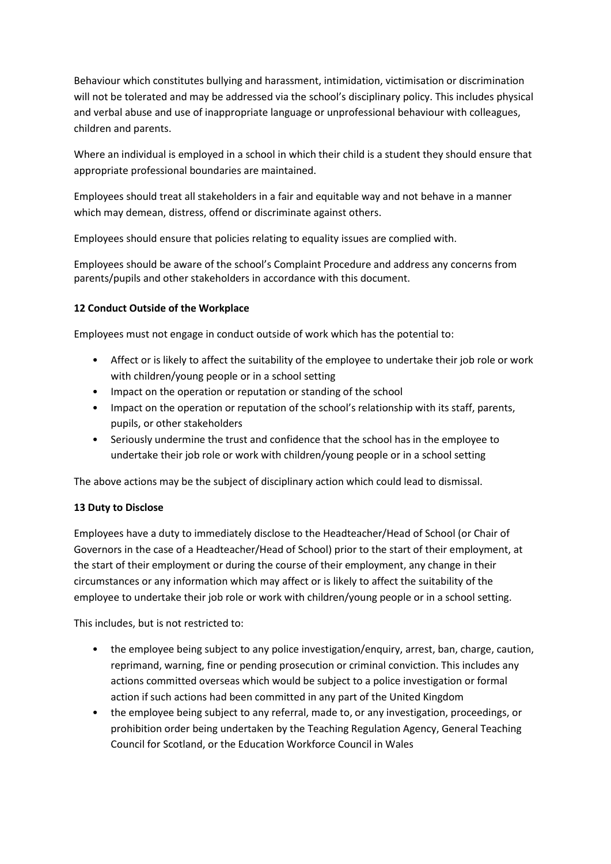Behaviour which constitutes bullying and harassment, intimidation, victimisation or discrimination will not be tolerated and may be addressed via the school's disciplinary policy. This includes physical and verbal abuse and use of inappropriate language or unprofessional behaviour with colleagues, children and parents.

Where an individual is employed in a school in which their child is a student they should ensure that appropriate professional boundaries are maintained.

Employees should treat all stakeholders in a fair and equitable way and not behave in a manner which may demean, distress, offend or discriminate against others.

Employees should ensure that policies relating to equality issues are complied with.

Employees should be aware of the school's Complaint Procedure and address any concerns from parents/pupils and other stakeholders in accordance with this document.

#### **12 Conduct Outside of the Workplace**

Employees must not engage in conduct outside of work which has the potential to:

- Affect or is likely to affect the suitability of the employee to undertake their job role or work with children/young people or in a school setting
- Impact on the operation or reputation or standing of the school
- Impact on the operation or reputation of the school's relationship with its staff, parents, pupils, or other stakeholders
- Seriously undermine the trust and confidence that the school has in the employee to undertake their job role or work with children/young people or in a school setting

The above actions may be the subject of disciplinary action which could lead to dismissal.

#### **13 Duty to Disclose**

Employees have a duty to immediately disclose to the Headteacher/Head of School (or Chair of Governors in the case of a Headteacher/Head of School) prior to the start of their employment, at the start of their employment or during the course of their employment, any change in their circumstances or any information which may affect or is likely to affect the suitability of the employee to undertake their job role or work with children/young people or in a school setting.

This includes, but is not restricted to:

- the employee being subject to any police investigation/enquiry, arrest, ban, charge, caution, reprimand, warning, fine or pending prosecution or criminal conviction. This includes any actions committed overseas which would be subject to a police investigation or formal action if such actions had been committed in any part of the United Kingdom
- the employee being subject to any referral, made to, or any investigation, proceedings, or prohibition order being undertaken by the Teaching Regulation Agency, General Teaching Council for Scotland, or the Education Workforce Council in Wales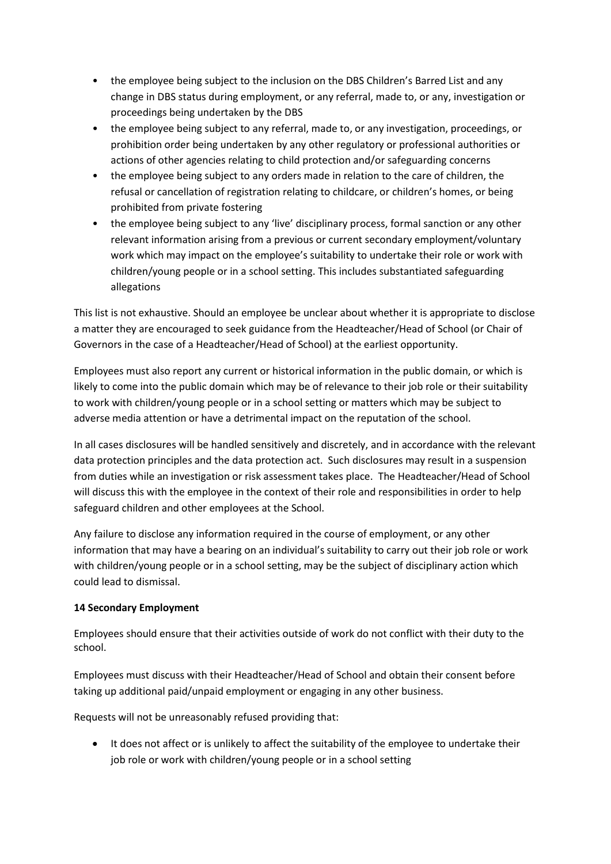- the employee being subject to the inclusion on the DBS Children's Barred List and any change in DBS status during employment, or any referral, made to, or any, investigation or proceedings being undertaken by the DBS
- the employee being subject to any referral, made to, or any investigation, proceedings, or prohibition order being undertaken by any other regulatory or professional authorities or actions of other agencies relating to child protection and/or safeguarding concerns
- the employee being subject to any orders made in relation to the care of children, the refusal or cancellation of registration relating to childcare, or children's homes, or being prohibited from private fostering
- the employee being subject to any 'live' disciplinary process, formal sanction or any other relevant information arising from a previous or current secondary employment/voluntary work which may impact on the employee's suitability to undertake their role or work with children/young people or in a school setting. This includes substantiated safeguarding allegations

This list is not exhaustive. Should an employee be unclear about whether it is appropriate to disclose a matter they are encouraged to seek guidance from the Headteacher/Head of School (or Chair of Governors in the case of a Headteacher/Head of School) at the earliest opportunity.

Employees must also report any current or historical information in the public domain, or which is likely to come into the public domain which may be of relevance to their job role or their suitability to work with children/young people or in a school setting or matters which may be subject to adverse media attention or have a detrimental impact on the reputation of the school.

In all cases disclosures will be handled sensitively and discretely, and in accordance with the relevant data protection principles and the data protection act. Such disclosures may result in a suspension from duties while an investigation or risk assessment takes place. The Headteacher/Head of School will discuss this with the employee in the context of their role and responsibilities in order to help safeguard children and other employees at the School.

Any failure to disclose any information required in the course of employment, or any other information that may have a bearing on an individual's suitability to carry out their job role or work with children/young people or in a school setting, may be the subject of disciplinary action which could lead to dismissal.

#### **14 Secondary Employment**

Employees should ensure that their activities outside of work do not conflict with their duty to the school.

Employees must discuss with their Headteacher/Head of School and obtain their consent before taking up additional paid/unpaid employment or engaging in any other business.

Requests will not be unreasonably refused providing that:

• It does not affect or is unlikely to affect the suitability of the employee to undertake their job role or work with children/young people or in a school setting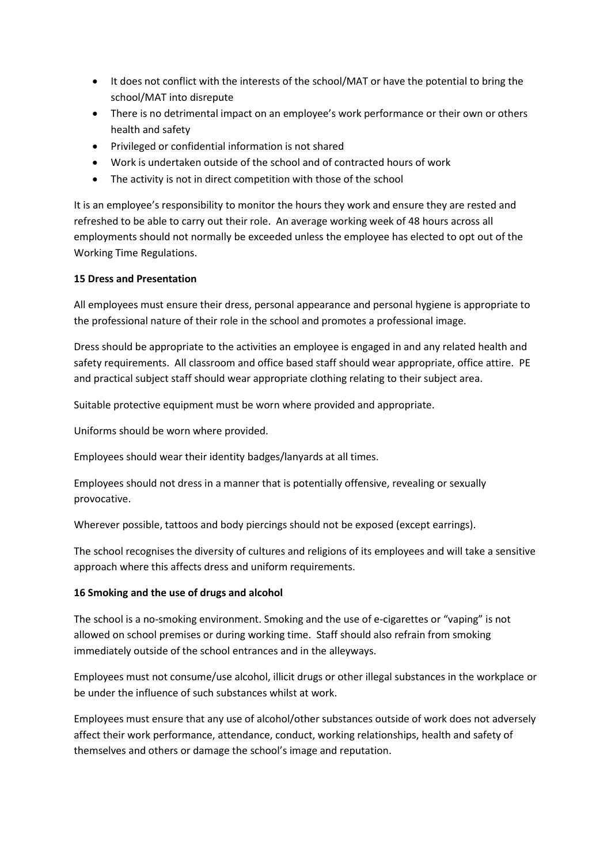- It does not conflict with the interests of the school/MAT or have the potential to bring the school/MAT into disrepute
- There is no detrimental impact on an employee's work performance or their own or others health and safety
- Privileged or confidential information is not shared
- Work is undertaken outside of the school and of contracted hours of work
- The activity is not in direct competition with those of the school

It is an employee's responsibility to monitor the hours they work and ensure they are rested and refreshed to be able to carry out their role. An average working week of 48 hours across all employments should not normally be exceeded unless the employee has elected to opt out of the Working Time Regulations.

#### **15 Dress and Presentation**

All employees must ensure their dress, personal appearance and personal hygiene is appropriate to the professional nature of their role in the school and promotes a professional image.

Dress should be appropriate to the activities an employee is engaged in and any related health and safety requirements. All classroom and office based staff should wear appropriate, office attire. PE and practical subject staff should wear appropriate clothing relating to their subject area.

Suitable protective equipment must be worn where provided and appropriate.

Uniforms should be worn where provided.

Employees should wear their identity badges/lanyards at all times.

Employees should not dress in a manner that is potentially offensive, revealing or sexually provocative.

Wherever possible, tattoos and body piercings should not be exposed (except earrings).

The school recognises the diversity of cultures and religions of its employees and will take a sensitive approach where this affects dress and uniform requirements.

#### **16 Smoking and the use of drugs and alcohol**

The school is a no-smoking environment. Smoking and the use of e-cigarettes or "vaping" is not allowed on school premises or during working time. Staff should also refrain from smoking immediately outside of the school entrances and in the alleyways.

Employees must not consume/use alcohol, illicit drugs or other illegal substances in the workplace or be under the influence of such substances whilst at work.

Employees must ensure that any use of alcohol/other substances outside of work does not adversely affect their work performance, attendance, conduct, working relationships, health and safety of themselves and others or damage the school's image and reputation.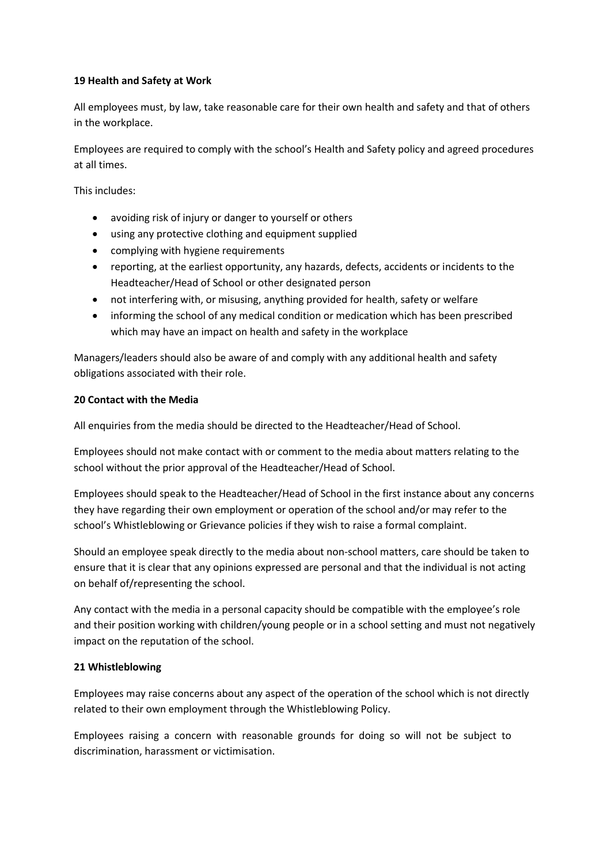#### **19 Health and Safety at Work**

All employees must, by law, take reasonable care for their own health and safety and that of others in the workplace.

Employees are required to comply with the school's Health and Safety policy and agreed procedures at all times.

This includes:

- avoiding risk of injury or danger to yourself or others
- using any protective clothing and equipment supplied
- complying with hygiene requirements
- reporting, at the earliest opportunity, any hazards, defects, accidents or incidents to the Headteacher/Head of School or other designated person
- not interfering with, or misusing, anything provided for health, safety or welfare
- informing the school of any medical condition or medication which has been prescribed which may have an impact on health and safety in the workplace

Managers/leaders should also be aware of and comply with any additional health and safety obligations associated with their role.

#### **20 Contact with the Media**

All enquiries from the media should be directed to the Headteacher/Head of School.

Employees should not make contact with or comment to the media about matters relating to the school without the prior approval of the Headteacher/Head of School.

Employees should speak to the Headteacher/Head of School in the first instance about any concerns they have regarding their own employment or operation of the school and/or may refer to the school's Whistleblowing or Grievance policies if they wish to raise a formal complaint.

Should an employee speak directly to the media about non-school matters, care should be taken to ensure that it is clear that any opinions expressed are personal and that the individual is not acting on behalf of/representing the school.

Any contact with the media in a personal capacity should be compatible with the employee's role and their position working with children/young people or in a school setting and must not negatively impact on the reputation of the school.

#### **21 Whistleblowing**

Employees may raise concerns about any aspect of the operation of the school which is not directly related to their own employment through the Whistleblowing Policy.

Employees raising a concern with reasonable grounds for doing so will not be subject to discrimination, harassment or victimisation.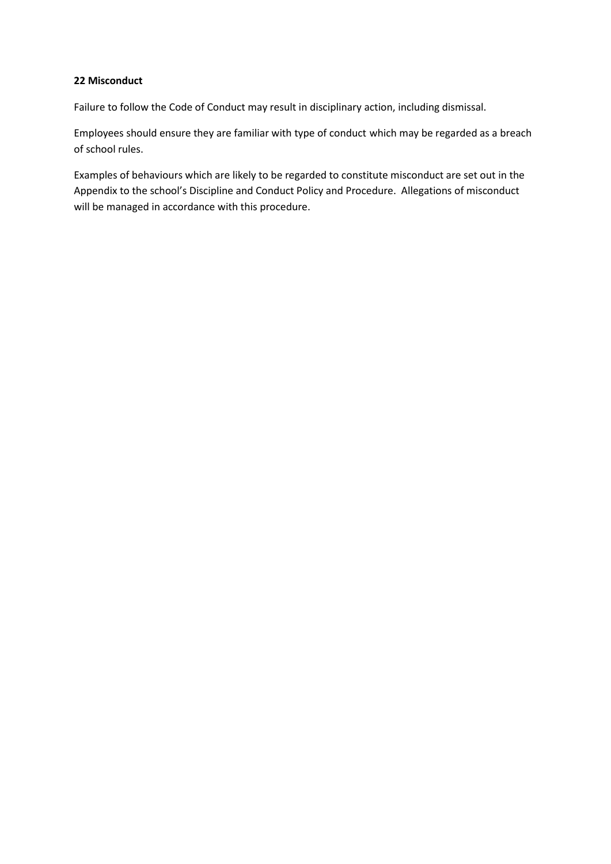#### **22 Misconduct**

Failure to follow the Code of Conduct may result in disciplinary action, including dismissal.

Employees should ensure they are familiar with type of conduct which may be regarded as a breach of school rules.

Examples of behaviours which are likely to be regarded to constitute misconduct are set out in the Appendix to the school's Discipline and Conduct Policy and Procedure. Allegations of misconduct will be managed in accordance with this procedure.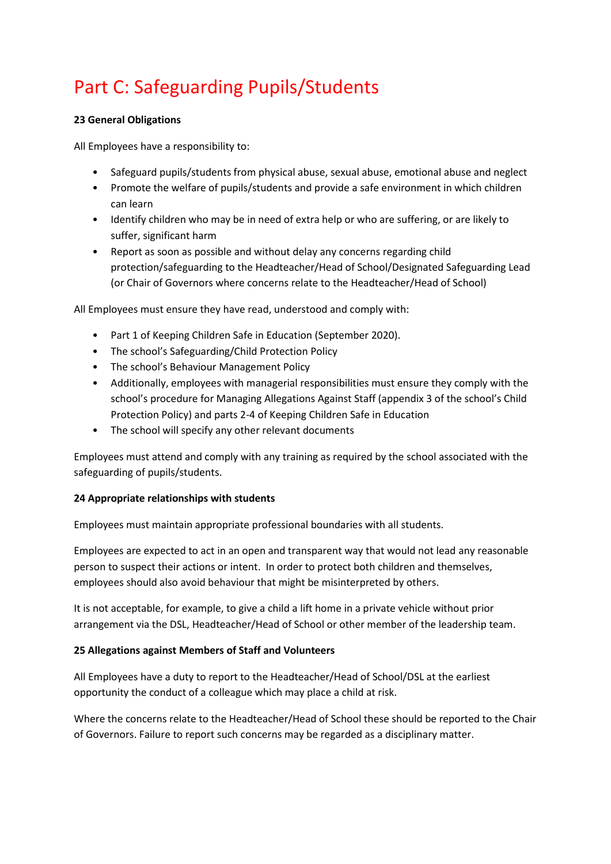# Part C: Safeguarding Pupils/Students

#### **23 General Obligations**

All Employees have a responsibility to:

- Safeguard pupils/students from physical abuse, sexual abuse, emotional abuse and neglect
- Promote the welfare of pupils/students and provide a safe environment in which children can learn
- Identify children who may be in need of extra help or who are suffering, or are likely to suffer, significant harm
- Report as soon as possible and without delay any concerns regarding child protection/safeguarding to the Headteacher/Head of School/Designated Safeguarding Lead (or Chair of Governors where concerns relate to the Headteacher/Head of School)

All Employees must ensure they have read, understood and comply with:

- Part 1 of Keeping Children Safe in Education (September 2020).
- The school's Safeguarding/Child Protection Policy
- The school's Behaviour Management Policy
- Additionally, employees with managerial responsibilities must ensure they comply with the school's procedure for Managing Allegations Against Staff (appendix 3 of the school's Child Protection Policy) and parts 2-4 of Keeping Children Safe in Education
- The school will specify any other relevant documents

Employees must attend and comply with any training as required by the school associated with the safeguarding of pupils/students.

#### **24 Appropriate relationships with students**

Employees must maintain appropriate professional boundaries with all students.

Employees are expected to act in an open and transparent way that would not lead any reasonable person to suspect their actions or intent. In order to protect both children and themselves, employees should also avoid behaviour that might be misinterpreted by others.

It is not acceptable, for example, to give a child a lift home in a private vehicle without prior arrangement via the DSL, Headteacher/Head of School or other member of the leadership team.

#### **25 Allegations against Members of Staff and Volunteers**

All Employees have a duty to report to the Headteacher/Head of School/DSL at the earliest opportunity the conduct of a colleague which may place a child at risk.

Where the concerns relate to the Headteacher/Head of School these should be reported to the Chair of Governors. Failure to report such concerns may be regarded as a disciplinary matter.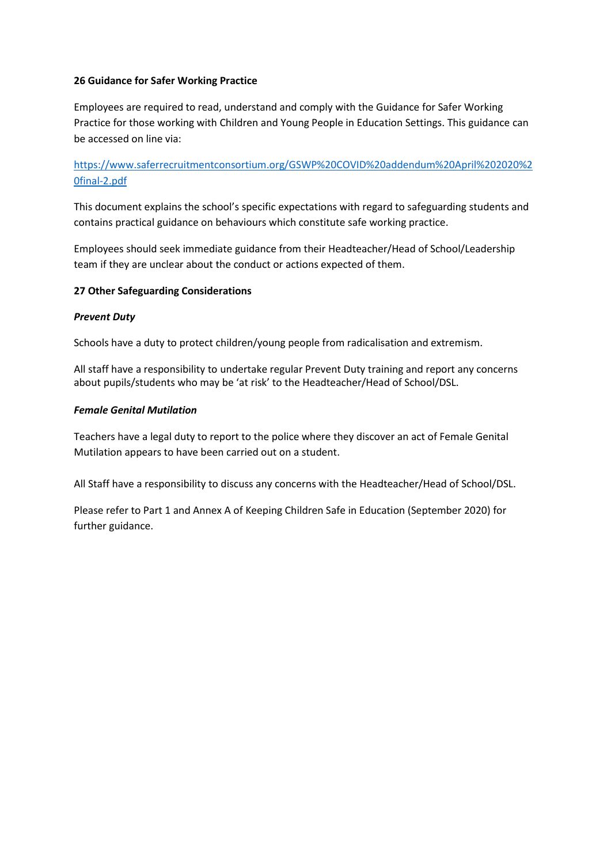#### **26 Guidance for Safer Working Practice**

Employees are required to read, understand and comply with the Guidance for Safer Working Practice for those working with Children and Young People in Education Settings. This guidance can be accessed on line via:

[https://www.saferrecruitmentconsortium.org/GSWP%20COVID%20addendum%20April%202020%2](https://www.saferrecruitmentconsortium.org/GSWP%20COVID%20addendum%20April%202020%20final-2.pdf) [0final-2.pdf](https://www.saferrecruitmentconsortium.org/GSWP%20COVID%20addendum%20April%202020%20final-2.pdf)

This document explains the school's specific expectations with regard to safeguarding students and contains practical guidance on behaviours which constitute safe working practice.

Employees should seek immediate guidance from their Headteacher/Head of School/Leadership team if they are unclear about the conduct or actions expected of them.

#### **27 Other Safeguarding Considerations**

#### *Prevent Duty*

Schools have a duty to protect children/young people from radicalisation and extremism.

All staff have a responsibility to undertake regular Prevent Duty training and report any concerns about pupils/students who may be 'at risk' to the Headteacher/Head of School/DSL.

#### *Female Genital Mutilation*

Teachers have a legal duty to report to the police where they discover an act of Female Genital Mutilation appears to have been carried out on a student.

All Staff have a responsibility to discuss any concerns with the Headteacher/Head of School/DSL.

Please refer to Part 1 and Annex A of Keeping Children Safe in Education (September 2020) for further guidance.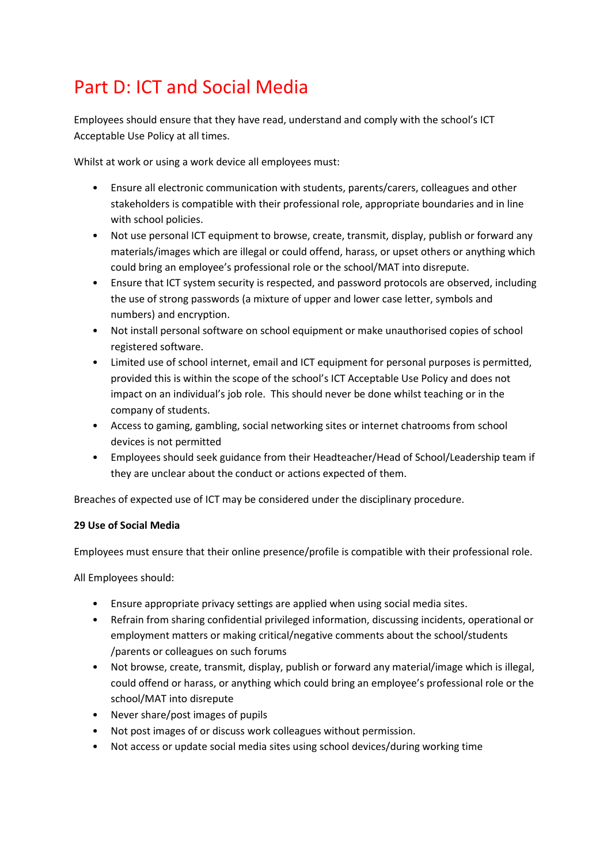# Part D: ICT and Social Media

Employees should ensure that they have read, understand and comply with the school's ICT Acceptable Use Policy at all times.

Whilst at work or using a work device all employees must:

- Ensure all electronic communication with students, parents/carers, colleagues and other stakeholders is compatible with their professional role, appropriate boundaries and in line with school policies.
- Not use personal ICT equipment to browse, create, transmit, display, publish or forward any materials/images which are illegal or could offend, harass, or upset others or anything which could bring an employee's professional role or the school/MAT into disrepute.
- Ensure that ICT system security is respected, and password protocols are observed, including the use of strong passwords (a mixture of upper and lower case letter, symbols and numbers) and encryption.
- Not install personal software on school equipment or make unauthorised copies of school registered software.
- Limited use of school internet, email and ICT equipment for personal purposes is permitted, provided this is within the scope of the school's ICT Acceptable Use Policy and does not impact on an individual's job role. This should never be done whilst teaching or in the company of students.
- Access to gaming, gambling, social networking sites or internet chatrooms from school devices is not permitted
- Employees should seek guidance from their Headteacher/Head of School/Leadership team if they are unclear about the conduct or actions expected of them.

Breaches of expected use of ICT may be considered under the disciplinary procedure.

#### **29 Use of Social Media**

Employees must ensure that their online presence/profile is compatible with their professional role.

All Employees should:

- Ensure appropriate privacy settings are applied when using social media sites.
- Refrain from sharing confidential privileged information, discussing incidents, operational or employment matters or making critical/negative comments about the school/students /parents or colleagues on such forums
- Not browse, create, transmit, display, publish or forward any material/image which is illegal, could offend or harass, or anything which could bring an employee's professional role or the school/MAT into disrepute
- Never share/post images of pupils
- Not post images of or discuss work colleagues without permission.
- Not access or update social media sites using school devices/during working time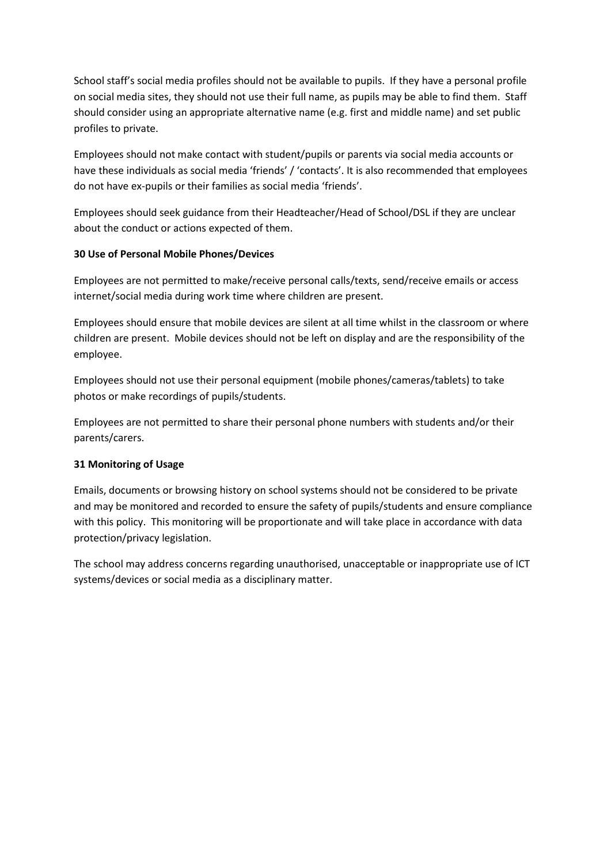School staff's social media profiles should not be available to pupils. If they have a personal profile on social media sites, they should not use their full name, as pupils may be able to find them. Staff should consider using an appropriate alternative name (e.g. first and middle name) and set public profiles to private.

Employees should not make contact with student/pupils or parents via social media accounts or have these individuals as social media 'friends' / 'contacts'. It is also recommended that employees do not have ex-pupils or their families as social media 'friends'.

Employees should seek guidance from their Headteacher/Head of School/DSL if they are unclear about the conduct or actions expected of them.

#### **30 Use of Personal Mobile Phones/Devices**

Employees are not permitted to make/receive personal calls/texts, send/receive emails or access internet/social media during work time where children are present.

Employees should ensure that mobile devices are silent at all time whilst in the classroom or where children are present. Mobile devices should not be left on display and are the responsibility of the employee.

Employees should not use their personal equipment (mobile phones/cameras/tablets) to take photos or make recordings of pupils/students.

Employees are not permitted to share their personal phone numbers with students and/or their parents/carers.

#### **31 Monitoring of Usage**

Emails, documents or browsing history on school systems should not be considered to be private and may be monitored and recorded to ensure the safety of pupils/students and ensure compliance with this policy. This monitoring will be proportionate and will take place in accordance with data protection/privacy legislation.

The school may address concerns regarding unauthorised, unacceptable or inappropriate use of ICT systems/devices or social media as a disciplinary matter.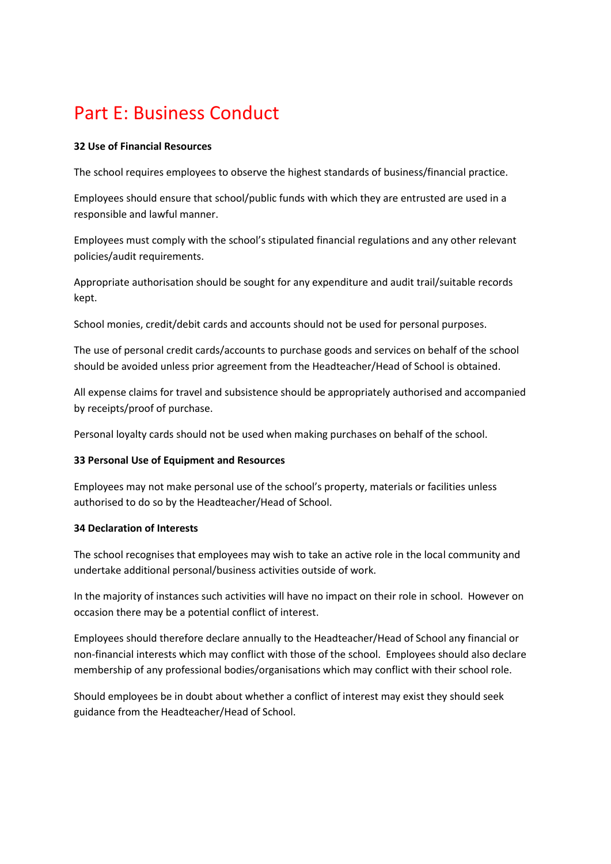## Part E: Business Conduct

#### **32 Use of Financial Resources**

The school requires employees to observe the highest standards of business/financial practice.

Employees should ensure that school/public funds with which they are entrusted are used in a responsible and lawful manner.

Employees must comply with the school's stipulated financial regulations and any other relevant policies/audit requirements.

Appropriate authorisation should be sought for any expenditure and audit trail/suitable records kept.

School monies, credit/debit cards and accounts should not be used for personal purposes.

The use of personal credit cards/accounts to purchase goods and services on behalf of the school should be avoided unless prior agreement from the Headteacher/Head of School is obtained.

All expense claims for travel and subsistence should be appropriately authorised and accompanied by receipts/proof of purchase.

Personal loyalty cards should not be used when making purchases on behalf of the school.

#### **33 Personal Use of Equipment and Resources**

Employees may not make personal use of the school's property, materials or facilities unless authorised to do so by the Headteacher/Head of School.

#### **34 Declaration of Interests**

The school recognises that employees may wish to take an active role in the local community and undertake additional personal/business activities outside of work.

In the majority of instances such activities will have no impact on their role in school. However on occasion there may be a potential conflict of interest.

Employees should therefore declare annually to the Headteacher/Head of School any financial or non-financial interests which may conflict with those of the school. Employees should also declare membership of any professional bodies/organisations which may conflict with their school role.

Should employees be in doubt about whether a conflict of interest may exist they should seek guidance from the Headteacher/Head of School.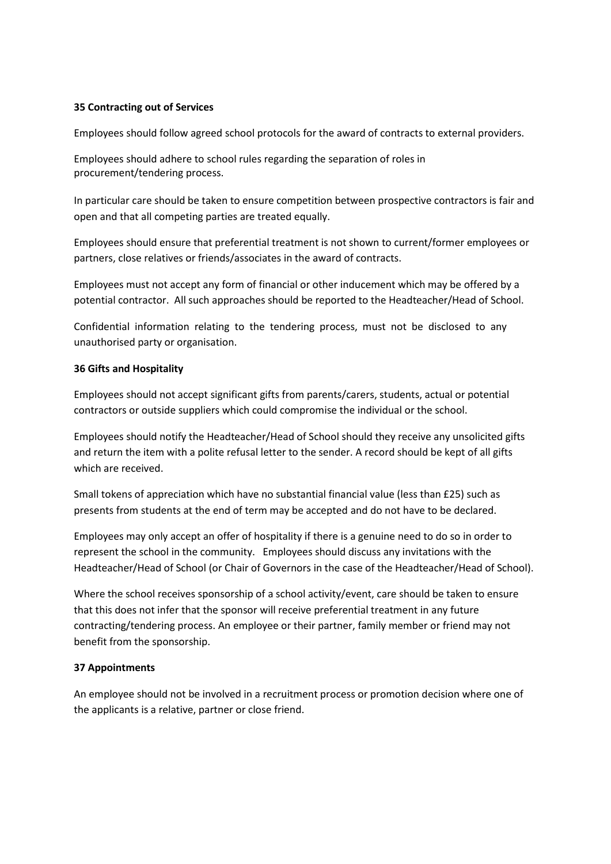#### **35 Contracting out of Services**

Employees should follow agreed school protocols for the award of contracts to external providers.

Employees should adhere to school rules regarding the separation of roles in procurement/tendering process.

In particular care should be taken to ensure competition between prospective contractors is fair and open and that all competing parties are treated equally.

Employees should ensure that preferential treatment is not shown to current/former employees or partners, close relatives or friends/associates in the award of contracts.

Employees must not accept any form of financial or other inducement which may be offered by a potential contractor. All such approaches should be reported to the Headteacher/Head of School.

Confidential information relating to the tendering process, must not be disclosed to any unauthorised party or organisation.

#### **36 Gifts and Hospitality**

Employees should not accept significant gifts from parents/carers, students, actual or potential contractors or outside suppliers which could compromise the individual or the school.

Employees should notify the Headteacher/Head of School should they receive any unsolicited gifts and return the item with a polite refusal letter to the sender. A record should be kept of all gifts which are received.

Small tokens of appreciation which have no substantial financial value (less than £25) such as presents from students at the end of term may be accepted and do not have to be declared.

Employees may only accept an offer of hospitality if there is a genuine need to do so in order to represent the school in the community. Employees should discuss any invitations with the Headteacher/Head of School (or Chair of Governors in the case of the Headteacher/Head of School).

Where the school receives sponsorship of a school activity/event, care should be taken to ensure that this does not infer that the sponsor will receive preferential treatment in any future contracting/tendering process. An employee or their partner, family member or friend may not benefit from the sponsorship.

#### **37 Appointments**

An employee should not be involved in a recruitment process or promotion decision where one of the applicants is a relative, partner or close friend.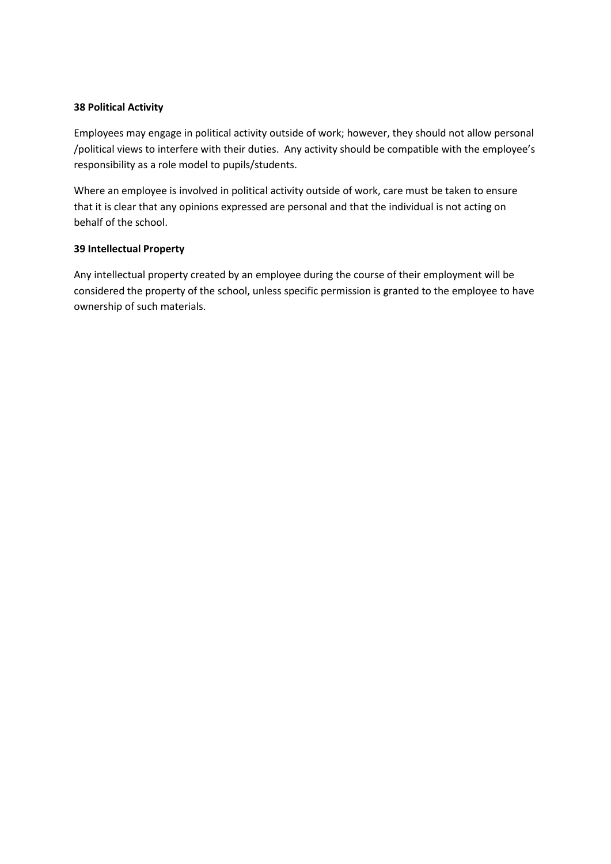#### **38 Political Activity**

Employees may engage in political activity outside of work; however, they should not allow personal /political views to interfere with their duties. Any activity should be compatible with the employee's responsibility as a role model to pupils/students.

Where an employee is involved in political activity outside of work, care must be taken to ensure that it is clear that any opinions expressed are personal and that the individual is not acting on behalf of the school.

#### **39 Intellectual Property**

Any intellectual property created by an employee during the course of their employment will be considered the property of the school, unless specific permission is granted to the employee to have ownership of such materials.